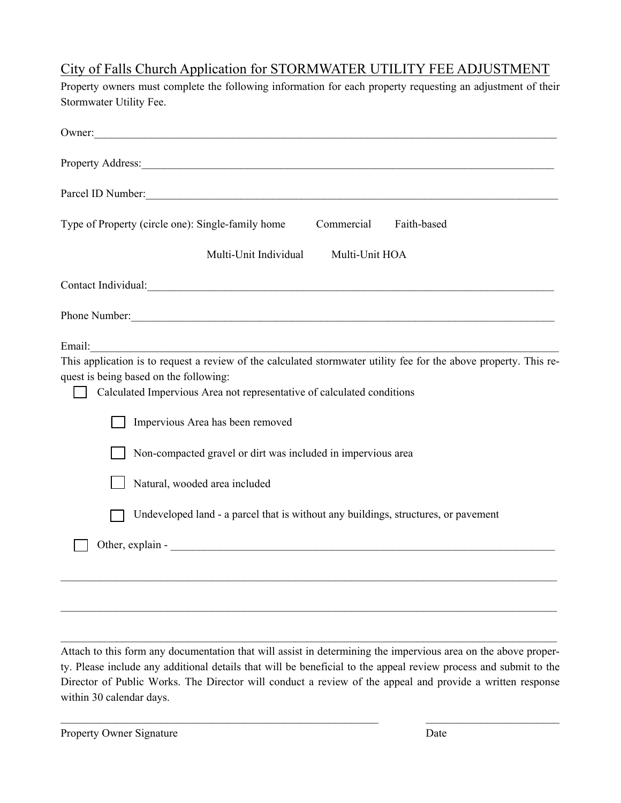## City of Falls Church Application for STORMWATER UTILITY FEE ADJUSTMENT

| Stormwater Utility Fee.                                                                                                                                                                                                                                                                                                                                                                                                                                                                        |
|------------------------------------------------------------------------------------------------------------------------------------------------------------------------------------------------------------------------------------------------------------------------------------------------------------------------------------------------------------------------------------------------------------------------------------------------------------------------------------------------|
| Owner:                                                                                                                                                                                                                                                                                                                                                                                                                                                                                         |
| Property Address: <u>New York: New York: New York: New York: New York: New York: New York: New York: New York: New York: New York: New York: New York: New York: New York: New York: New York: New York: New York: New York: New</u>                                                                                                                                                                                                                                                           |
| Parcel ID Number:                                                                                                                                                                                                                                                                                                                                                                                                                                                                              |
| Type of Property (circle one): Single-family home<br>Commercial<br>Faith-based                                                                                                                                                                                                                                                                                                                                                                                                                 |
| Multi-Unit Individual<br>Multi-Unit HOA                                                                                                                                                                                                                                                                                                                                                                                                                                                        |
| Contact Individual: Contact Individual:                                                                                                                                                                                                                                                                                                                                                                                                                                                        |
|                                                                                                                                                                                                                                                                                                                                                                                                                                                                                                |
| Email:<br>This application is to request a review of the calculated stormwater utility fee for the above property. This re-<br>quest is being based on the following:<br>Calculated Impervious Area not representative of calculated conditions<br>Impervious Area has been removed<br>Non-compacted gravel or dirt was included in impervious area<br>Natural, wooded area included<br>Undeveloped land - a parcel that is without any buildings, structures, or pavement<br>Other, explain - |
|                                                                                                                                                                                                                                                                                                                                                                                                                                                                                                |

Property owners must complete the following information for each property requesting an adjustment of their

Attach to this form any documentation that will assist in determining the impervious area on the above property. Please include any additional details that will be beneficial to the appeal review process and submit to the Director of Public Works. The Director will conduct a review of the appeal and provide a written response within 30 calendar days.

 $\mathcal{L}_\mathcal{L} = \{ \mathcal{L}_\mathcal{L} = \{ \mathcal{L}_\mathcal{L} = \{ \mathcal{L}_\mathcal{L} = \{ \mathcal{L}_\mathcal{L} = \{ \mathcal{L}_\mathcal{L} = \{ \mathcal{L}_\mathcal{L} = \{ \mathcal{L}_\mathcal{L} = \{ \mathcal{L}_\mathcal{L} = \{ \mathcal{L}_\mathcal{L} = \{ \mathcal{L}_\mathcal{L} = \{ \mathcal{L}_\mathcal{L} = \{ \mathcal{L}_\mathcal{L} = \{ \mathcal{L}_\mathcal{L} = \{ \mathcal{L}_\mathcal{$ 

 $\mathcal{L}_\mathcal{L} = \mathcal{L}_\mathcal{L} = \mathcal{L}_\mathcal{L} = \mathcal{L}_\mathcal{L} = \mathcal{L}_\mathcal{L} = \mathcal{L}_\mathcal{L} = \mathcal{L}_\mathcal{L} = \mathcal{L}_\mathcal{L} = \mathcal{L}_\mathcal{L} = \mathcal{L}_\mathcal{L} = \mathcal{L}_\mathcal{L} = \mathcal{L}_\mathcal{L} = \mathcal{L}_\mathcal{L} = \mathcal{L}_\mathcal{L} = \mathcal{L}_\mathcal{L} = \mathcal{L}_\mathcal{L} = \mathcal{L}_\mathcal{L}$ 

 $\mathcal{L}_\mathcal{L} = \mathcal{L}_\mathcal{L} = \mathcal{L}_\mathcal{L} = \mathcal{L}_\mathcal{L} = \mathcal{L}_\mathcal{L} = \mathcal{L}_\mathcal{L} = \mathcal{L}_\mathcal{L} = \mathcal{L}_\mathcal{L} = \mathcal{L}_\mathcal{L} = \mathcal{L}_\mathcal{L} = \mathcal{L}_\mathcal{L} = \mathcal{L}_\mathcal{L} = \mathcal{L}_\mathcal{L} = \mathcal{L}_\mathcal{L} = \mathcal{L}_\mathcal{L} = \mathcal{L}_\mathcal{L} = \mathcal{L}_\mathcal{L}$ 

Property Owner Signature Date